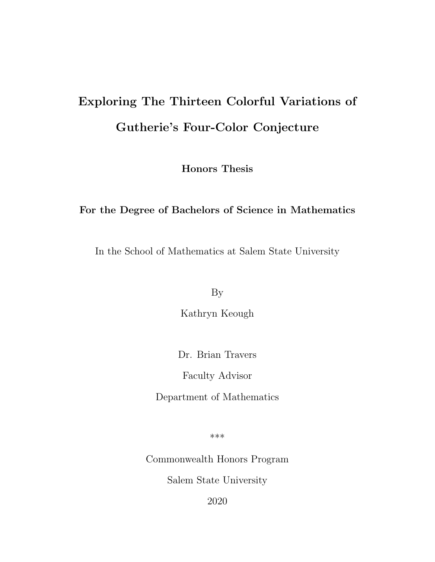# Exploring The Thirteen Colorful Variations of Gutherie's Four-Color Conjecture

Honors Thesis

#### For the Degree of Bachelors of Science in Mathematics

In the School of Mathematics at Salem State University

By

Kathryn Keough

Dr. Brian Travers

Faculty Advisor

Department of Mathematics

\*\*\*

Commonwealth Honors Program

Salem State University

2020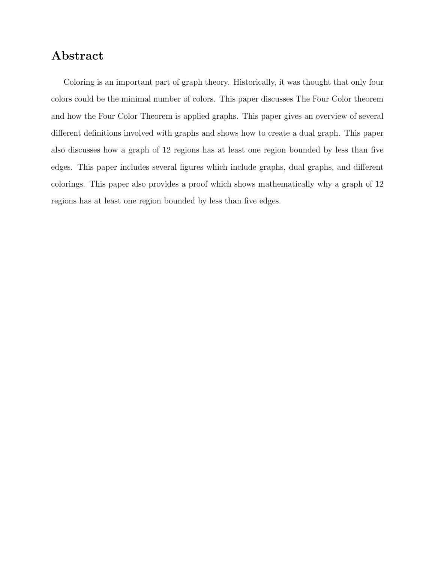## Abstract

Coloring is an important part of graph theory. Historically, it was thought that only four colors could be the minimal number of colors. This paper discusses The Four Color theorem and how the Four Color Theorem is applied graphs. This paper gives an overview of several different definitions involved with graphs and shows how to create a dual graph. This paper also discusses how a graph of 12 regions has at least one region bounded by less than five edges. This paper includes several figures which include graphs, dual graphs, and different colorings. This paper also provides a proof which shows mathematically why a graph of 12 regions has at least one region bounded by less than five edges.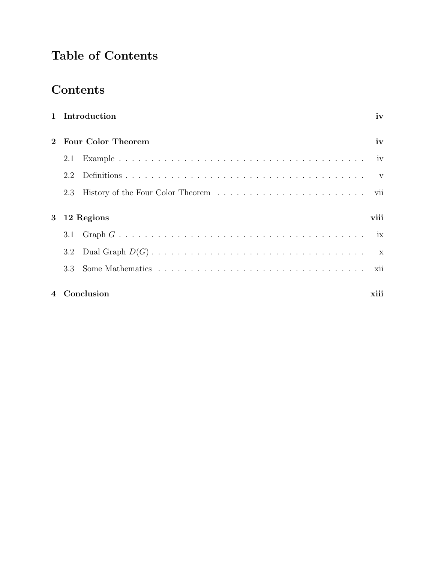## Table of Contents

## Contents

| 1 Introduction            | iv   |
|---------------------------|------|
| <b>Four Color Theorem</b> | iv   |
| 2.1                       |      |
| 2.2                       |      |
| 2.3                       |      |
| 3 12 Regions              | viii |
| 3.1                       |      |
| $3.2\,$                   |      |
| 3.3                       |      |
| 4 Conclusion              | xiii |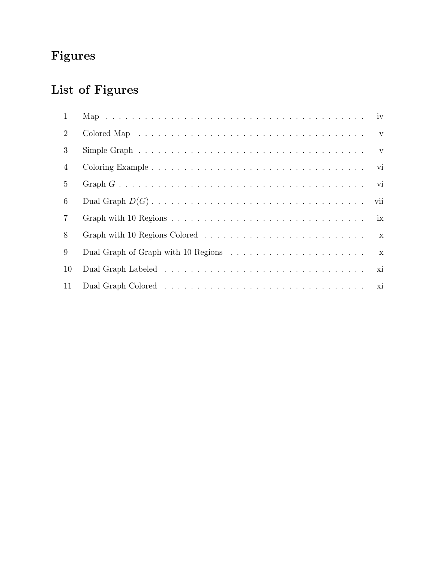# Figures

# List of Figures

| $\mathbf{1}$   |                                                                                                               |              |
|----------------|---------------------------------------------------------------------------------------------------------------|--------------|
| $\overline{2}$ | Colored Map $\dots \dots \dots \dots \dots \dots \dots \dots \dots \dots \dots \dots \dots \dots \dots \dots$ |              |
| 3              | Simple Graph $\ldots \ldots \ldots \ldots \ldots \ldots \ldots \ldots \ldots \ldots \ldots \ldots$            |              |
| $\overline{4}$ |                                                                                                               | vi           |
| 5              |                                                                                                               |              |
| 6              |                                                                                                               | vii          |
| $7\phantom{.}$ |                                                                                                               |              |
| 8              |                                                                                                               |              |
| 9              |                                                                                                               | $\mathbf{x}$ |
| 10             |                                                                                                               | xi           |
| 11             |                                                                                                               |              |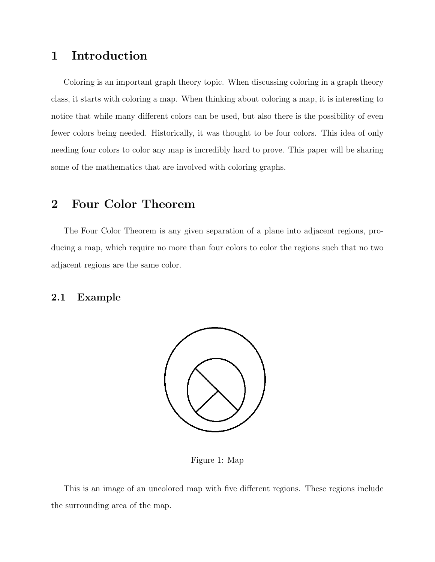## 1 Introduction

Coloring is an important graph theory topic. When discussing coloring in a graph theory class, it starts with coloring a map. When thinking about coloring a map, it is interesting to notice that while many different colors can be used, but also there is the possibility of even fewer colors being needed. Historically, it was thought to be four colors. This idea of only needing four colors to color any map is incredibly hard to prove. This paper will be sharing some of the mathematics that are involved with coloring graphs.

## 2 Four Color Theorem

The Four Color Theorem is any given separation of a plane into adjacent regions, producing a map, which require no more than four colors to color the regions such that no two adjacent regions are the same color.

#### 2.1 Example



Figure 1: Map

This is an image of an uncolored map with five different regions. These regions include the surrounding area of the map.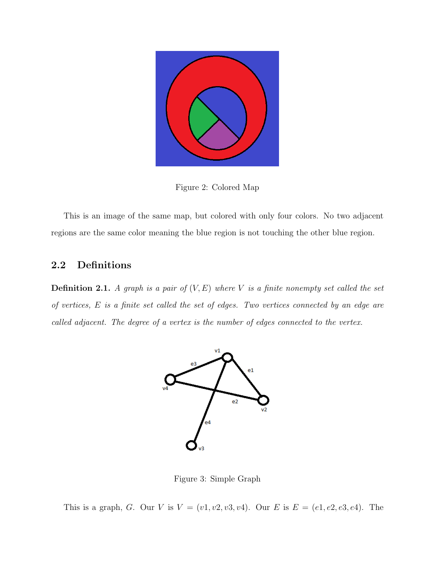

Figure 2: Colored Map

This is an image of the same map, but colored with only four colors. No two adjacent regions are the same color meaning the blue region is not touching the other blue region.

#### 2.2 Definitions

**Definition 2.1.** A graph is a pair of  $(V, E)$  where V is a finite nonempty set called the set of vertices, E is a finite set called the set of edges. Two vertices connected by an edge are called adjacent. The degree of a vertex is the number of edges connected to the vertex.



Figure 3: Simple Graph

This is a graph, G. Our V is  $V = (v1, v2, v3, v4)$ . Our E is  $E = (e1, e2, e3, e4)$ . The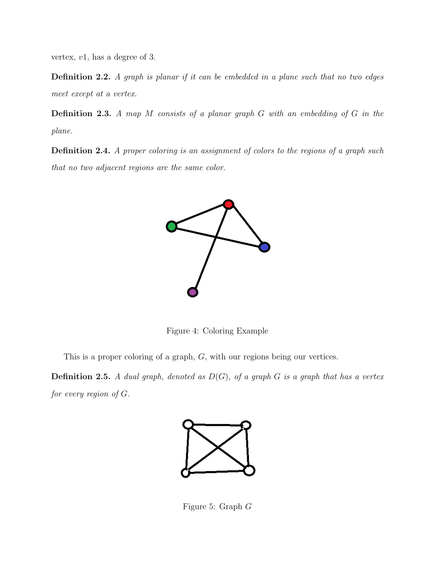vertex, v1, has a degree of 3.

**Definition 2.2.** A graph is planar if it can be embedded in a plane such that no two edges meet except at a vertex.

Definition 2.3. A map M consists of a planar graph G with an embedding of G in the plane.

Definition 2.4. A proper coloring is an assignment of colors to the regions of a graph such that no two adjacent regions are the same color.



Figure 4: Coloring Example

This is a proper coloring of a graph, G, with our regions being our vertices.

**Definition 2.5.** A dual graph, denoted as  $D(G)$ , of a graph G is a graph that has a vertex for every region of  $G$ .



Figure 5: Graph G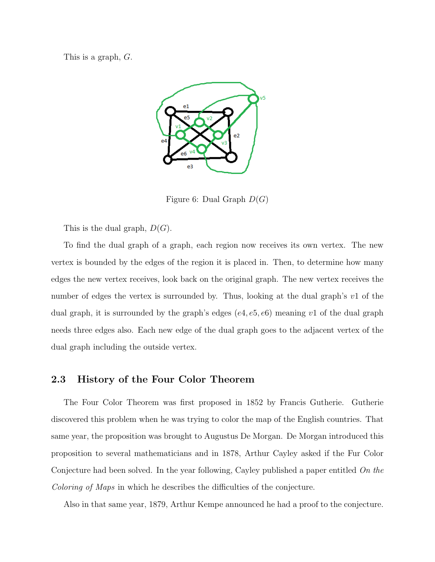This is a graph, G.



Figure 6: Dual Graph  $D(G)$ 

This is the dual graph,  $D(G)$ .

To find the dual graph of a graph, each region now receives its own vertex. The new vertex is bounded by the edges of the region it is placed in. Then, to determine how many edges the new vertex receives, look back on the original graph. The new vertex receives the number of edges the vertex is surrounded by. Thus, looking at the dual graph's v1 of the dual graph, it is surrounded by the graph's edges  $(e4, e5, e6)$  meaning v1 of the dual graph needs three edges also. Each new edge of the dual graph goes to the adjacent vertex of the dual graph including the outside vertex.

#### 2.3 History of the Four Color Theorem

The Four Color Theorem was first proposed in 1852 by Francis Gutherie. Gutherie discovered this problem when he was trying to color the map of the English countries. That same year, the proposition was brought to Augustus De Morgan. De Morgan introduced this proposition to several mathematicians and in 1878, Arthur Cayley asked if the Fur Color Conjecture had been solved. In the year following, Cayley published a paper entitled On the Coloring of Maps in which he describes the difficulties of the conjecture.

Also in that same year, 1879, Arthur Kempe announced he had a proof to the conjecture.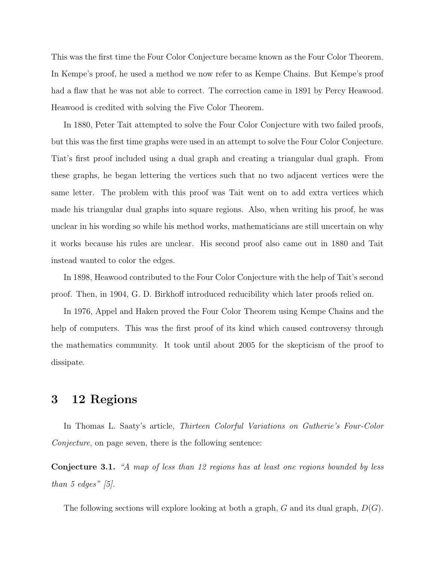This was the first time the Four Color Conjecture became known as the Four Color Theorem. In Kempe's proof, he used a method we now refer to as Kempe Chains. But Kempe's proof had a flaw that he was not able to correct. The correction came in 1891 by Percy Heawood. Heawood is credited with solving the Five Color Theorem.

In 1880, Peter Tait attempted to solve the Four Color Conjecture with two failed proofs, but this was the first time graphs were used in an attempt to solve the Four Color Conjecture. Tiat's first proof included using a dual graph and creating a triangular dual graph. From these graphs, he began lettering the vertices such that no two adjacent vertices were the same letter. The problem with this proof was Tait went on to add extra vertices which made his triangular dual graphs into square regions. Also, when writing his proof, he was unclear in his wording so while his method works, mathematicians are still uncertain on why it works because his rules are unclear. His second proof also came out in 1880 and Tait instead wanted to color the edges.

In 1898, Heawood contributed to the Four Color Conjecture with the help of Tait's second proof. Then, in 1904, G. D. Birkhoff introduced reducibility which later proofs relied on.

In 1976, Appel and Haken proved the Four Color Theorem using Kempe Chains and the help of computers. This was the first proof of its kind which caused controversy through the mathematics community. It took until about 2005 for the skepticism of the proof to dissipate.

### 3 12 Regions

In Thomas L. Saaty's article, Thirteen Colorful Variations on Gutherie's Four-Color Conjecture, on page seven, there is the following sentence:

Conjecture 3.1. "A map of less than 12 regions has at least one regions bounded by less than 5 edges"  $[5]$ .

The following sections will explore looking at both a graph,  $G$  and its dual graph,  $D(G)$ .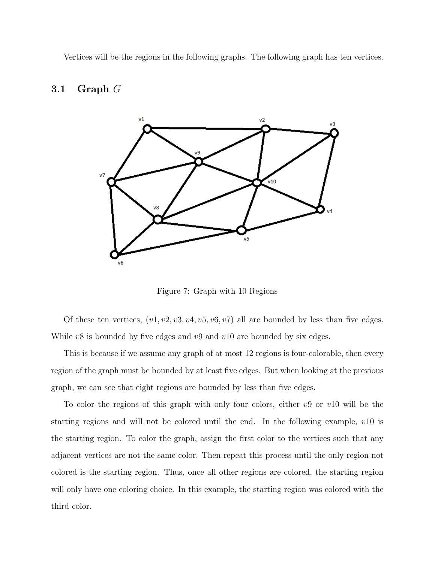Vertices will be the regions in the following graphs. The following graph has ten vertices.

#### 3.1 Graph G



Figure 7: Graph with 10 Regions

Of these ten vertices,  $(v1, v2, v3, v4, v5, v6, v7)$  all are bounded by less than five edges. While  $v8$  is bounded by five edges and  $v9$  and  $v10$  are bounded by six edges.

This is because if we assume any graph of at most 12 regions is four-colorable, then every region of the graph must be bounded by at least five edges. But when looking at the previous graph, we can see that eight regions are bounded by less than five edges.

To color the regions of this graph with only four colors, either  $v9$  or  $v10$  will be the starting regions and will not be colored until the end. In the following example,  $v10$  is the starting region. To color the graph, assign the first color to the vertices such that any adjacent vertices are not the same color. Then repeat this process until the only region not colored is the starting region. Thus, once all other regions are colored, the starting region will only have one coloring choice. In this example, the starting region was colored with the third color.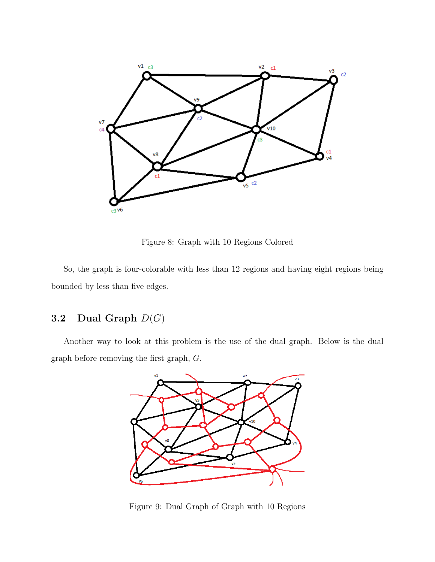

Figure 8: Graph with 10 Regions Colored

So, the graph is four-colorable with less than 12 regions and having eight regions being bounded by less than five edges.

### 3.2 Dual Graph  $D(G)$

Another way to look at this problem is the use of the dual graph. Below is the dual graph before removing the first graph, G.



Figure 9: Dual Graph of Graph with 10 Regions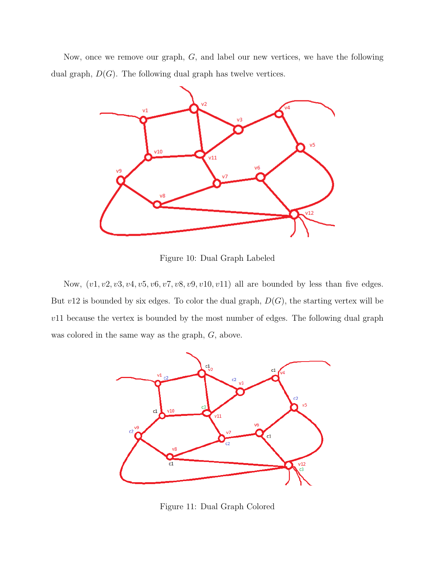Now, once we remove our graph, G, and label our new vertices, we have the following dual graph,  $D(G)$ . The following dual graph has twelve vertices.



Figure 10: Dual Graph Labeled

Now,  $(v1, v2, v3, v4, v5, v6, v7, v8, v9, v10, v11)$  all are bounded by less than five edges. But  $v12$  is bounded by six edges. To color the dual graph,  $D(G)$ , the starting vertex will be  $v11$  because the vertex is bounded by the most number of edges. The following dual graph was colored in the same way as the graph, G, above.



Figure 11: Dual Graph Colored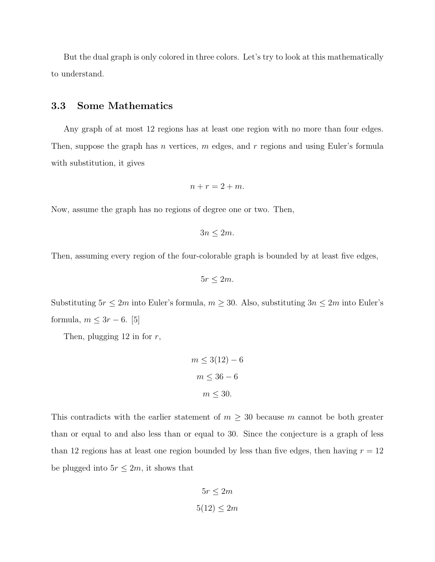But the dual graph is only colored in three colors. Let's try to look at this mathematically to understand.

#### 3.3 Some Mathematics

Any graph of at most 12 regions has at least one region with no more than four edges. Then, suppose the graph has n vertices, m edges, and r regions and using Euler's formula with substitution, it gives

$$
n+r=2+m.
$$

Now, assume the graph has no regions of degree one or two. Then,

$$
3n\leq 2m.
$$

Then, assuming every region of the four-colorable graph is bounded by at least five edges,

$$
5r\leq 2m.
$$

Substituting  $5r \le 2m$  into Euler's formula,  $m \ge 30$ . Also, substituting  $3n \le 2m$  into Euler's formula,  $m \leq 3r - 6$ . [5]

Then, plugging  $12$  in for  $r$ ,

$$
m \le 3(12) - 6
$$

$$
m \le 36 - 6
$$

$$
m \le 30.
$$

This contradicts with the earlier statement of  $m \geq 30$  because m cannot be both greater than or equal to and also less than or equal to 30. Since the conjecture is a graph of less than 12 regions has at least one region bounded by less than five edges, then having  $r = 12$ be plugged into  $5r \leq 2m$ , it shows that

$$
5r \le 2m
$$

$$
5(12) \le 2m
$$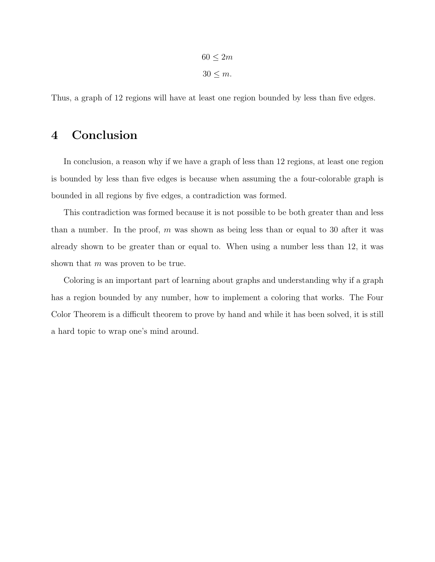$60 \leq 2m$  $30 \leq m$ .

Thus, a graph of 12 regions will have at least one region bounded by less than five edges.

## 4 Conclusion

In conclusion, a reason why if we have a graph of less than 12 regions, at least one region is bounded by less than five edges is because when assuming the a four-colorable graph is bounded in all regions by five edges, a contradiction was formed.

This contradiction was formed because it is not possible to be both greater than and less than a number. In the proof, m was shown as being less than or equal to 30 after it was already shown to be greater than or equal to. When using a number less than 12, it was shown that  $m$  was proven to be true.

Coloring is an important part of learning about graphs and understanding why if a graph has a region bounded by any number, how to implement a coloring that works. The Four Color Theorem is a difficult theorem to prove by hand and while it has been solved, it is still a hard topic to wrap one's mind around.